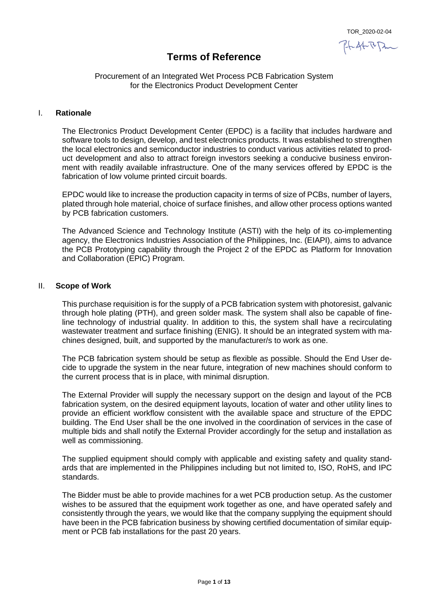TOR\_2020-02-04

24 st RPm

# **Terms of Reference**

## Procurement of an Integrated Wet Process PCB Fabrication System for the Electronics Product Development Center

## I. **Rationale**

The Electronics Product Development Center (EPDC) is a facility that includes hardware and software tools to design, develop, and test electronics products. It was established to strengthen the local electronics and semiconductor industries to conduct various activities related to product development and also to attract foreign investors seeking a conducive business environment with readily available infrastructure. One of the many services offered by EPDC is the fabrication of low volume printed circuit boards.

EPDC would like to increase the production capacity in terms of size of PCBs, number of layers, plated through hole material, choice of surface finishes, and allow other process options wanted by PCB fabrication customers.

The Advanced Science and Technology Institute (ASTI) with the help of its co-implementing agency, the Electronics Industries Association of the Philippines, Inc. (EIAPI), aims to advance the PCB Prototyping capability through the Project 2 of the EPDC as Platform for Innovation and Collaboration (EPIC) Program.

## II. **Scope of Work**

This purchase requisition is for the supply of a PCB fabrication system with photoresist, galvanic through hole plating (PTH), and green solder mask. The system shall also be capable of fineline technology of industrial quality. In addition to this, the system shall have a recirculating wastewater treatment and surface finishing (ENIG). It should be an integrated system with machines designed, built, and supported by the manufacturer/s to work as one.

The PCB fabrication system should be setup as flexible as possible. Should the End User decide to upgrade the system in the near future, integration of new machines should conform to the current process that is in place, with minimal disruption.

The External Provider will supply the necessary support on the design and layout of the PCB fabrication system, on the desired equipment layouts, location of water and other utility lines to provide an efficient workflow consistent with the available space and structure of the EPDC building. The End User shall be the one involved in the coordination of services in the case of multiple bids and shall notify the External Provider accordingly for the setup and installation as well as commissioning.

The supplied equipment should comply with applicable and existing safety and quality standards that are implemented in the Philippines including but not limited to, ISO, RoHS, and IPC standards.

The Bidder must be able to provide machines for a wet PCB production setup. As the customer wishes to be assured that the equipment work together as one, and have operated safely and consistently through the years, we would like that the company supplying the equipment should have been in the PCB fabrication business by showing certified documentation of similar equipment or PCB fab installations for the past 20 years.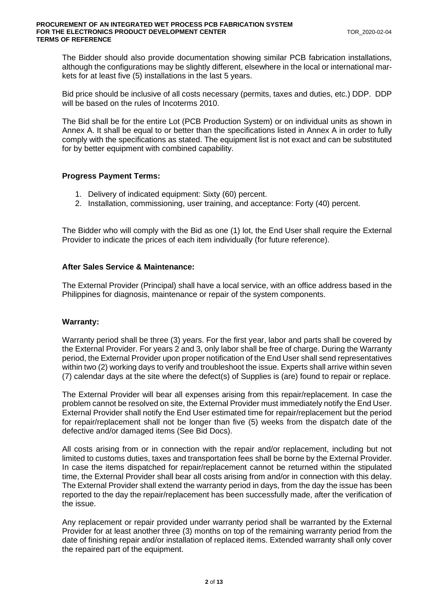The Bidder should also provide documentation showing similar PCB fabrication installations, although the configurations may be slightly different, elsewhere in the local or international markets for at least five (5) installations in the last 5 years.

Bid price should be inclusive of all costs necessary (permits, taxes and duties, etc.) DDP. DDP will be based on the rules of Incoterms 2010.

The Bid shall be for the entire Lot (PCB Production System) or on individual units as shown in Annex A. It shall be equal to or better than the specifications listed in Annex A in order to fully comply with the specifications as stated. The equipment list is not exact and can be substituted for by better equipment with combined capability.

## **Progress Payment Terms:**

- 1. Delivery of indicated equipment: Sixty (60) percent.
- 2. Installation, commissioning, user training, and acceptance: Forty (40) percent.

The Bidder who will comply with the Bid as one (1) lot, the End User shall require the External Provider to indicate the prices of each item individually (for future reference).

## **After Sales Service & Maintenance:**

The External Provider (Principal) shall have a local service, with an office address based in the Philippines for diagnosis, maintenance or repair of the system components.

#### **Warranty:**

Warranty period shall be three (3) years. For the first year, labor and parts shall be covered by the External Provider. For years 2 and 3, only labor shall be free of charge. During the Warranty period, the External Provider upon proper notification of the End User shall send representatives within two (2) working days to verify and troubleshoot the issue. Experts shall arrive within seven (7) calendar days at the site where the defect(s) of Supplies is (are) found to repair or replace.

The External Provider will bear all expenses arising from this repair/replacement. In case the problem cannot be resolved on site, the External Provider must immediately notify the End User. External Provider shall notify the End User estimated time for repair/replacement but the period for repair/replacement shall not be longer than five (5) weeks from the dispatch date of the defective and/or damaged items (See Bid Docs).

All costs arising from or in connection with the repair and/or replacement, including but not limited to customs duties, taxes and transportation fees shall be borne by the External Provider. In case the items dispatched for repair/replacement cannot be returned within the stipulated time, the External Provider shall bear all costs arising from and/or in connection with this delay. The External Provider shall extend the warranty period in days, from the day the issue has been reported to the day the repair/replacement has been successfully made, after the verification of the issue.

Any replacement or repair provided under warranty period shall be warranted by the External Provider for at least another three (3) months on top of the remaining warranty period from the date of finishing repair and/or installation of replaced items. Extended warranty shall only cover the repaired part of the equipment.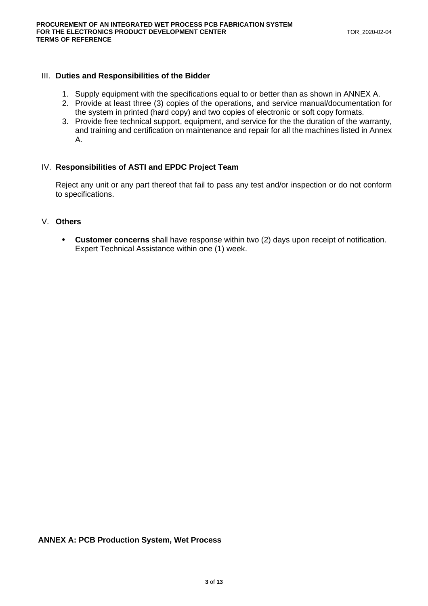## III. **Duties and Responsibilities of the Bidder**

- 1. Supply equipment with the specifications equal to or better than as shown in ANNEX A.
- 2. Provide at least three (3) copies of the operations, and service manual/documentation for the system in printed (hard copy) and two copies of electronic or soft copy formats.
- 3. Provide free technical support, equipment, and service for the the duration of the warranty, and training and certification on maintenance and repair for all the machines listed in Annex A.

## IV. **Responsibilities of ASTI and EPDC Project Team**

Reject any unit or any part thereof that fail to pass any test and/or inspection or do not conform to specifications.

# V. **Others**

• **Customer concerns** shall have response within two (2) days upon receipt of notification. Expert Technical Assistance within one (1) week.

#### **ANNEX A: PCB Production System, Wet Process**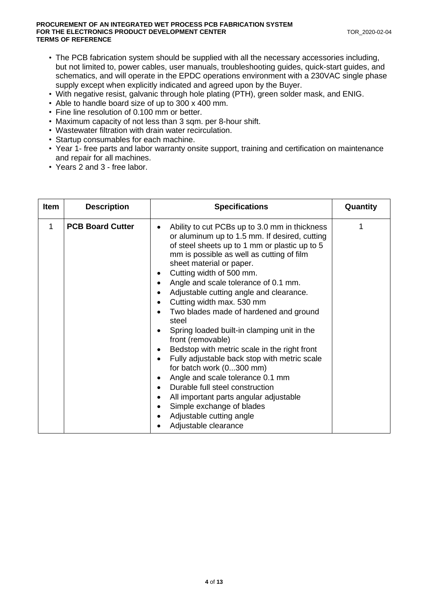- The PCB fabrication system should be supplied with all the necessary accessories including, but not limited to, power cables, user manuals, troubleshooting guides, quick-start guides, and schematics, and will operate in the EPDC operations environment with a 230VAC single phase supply except when explicitly indicated and agreed upon by the Buyer.
- With negative resist, galvanic through hole plating (PTH), green solder mask, and ENIG.
- Able to handle board size of up to 300 x 400 mm.
- Fine line resolution of 0.100 mm or better.
- Maximum capacity of not less than 3 sqm. per 8-hour shift.
- Wastewater filtration with drain water recirculation.
- Startup consumables for each machine.
- Year 1- free parts and labor warranty onsite support, training and certification on maintenance and repair for all machines.
- Years 2 and 3 free labor.

| <b>Item</b> | <b>Description</b>      | <b>Specifications</b>                                                                                                                                                                                                                                                                                                                                                                                                                                                                                                                                                                                                                                                                                                                                                                                                     | Quantity |
|-------------|-------------------------|---------------------------------------------------------------------------------------------------------------------------------------------------------------------------------------------------------------------------------------------------------------------------------------------------------------------------------------------------------------------------------------------------------------------------------------------------------------------------------------------------------------------------------------------------------------------------------------------------------------------------------------------------------------------------------------------------------------------------------------------------------------------------------------------------------------------------|----------|
| 1           | <b>PCB Board Cutter</b> | Ability to cut PCBs up to 3.0 mm in thickness<br>or aluminum up to 1.5 mm. If desired, cutting<br>of steel sheets up to 1 mm or plastic up to 5<br>mm is possible as well as cutting of film<br>sheet material or paper.<br>Cutting width of 500 mm.<br>Angle and scale tolerance of 0.1 mm.<br>Adjustable cutting angle and clearance.<br>Cutting width max. 530 mm<br>Two blades made of hardened and ground<br>steel<br>Spring loaded built-in clamping unit in the<br>front (removable)<br>Bedstop with metric scale in the right front<br>Fully adjustable back stop with metric scale<br>for batch work (0300 mm)<br>Angle and scale tolerance 0.1 mm<br>Durable full steel construction<br>All important parts angular adjustable<br>Simple exchange of blades<br>Adjustable cutting angle<br>Adjustable clearance |          |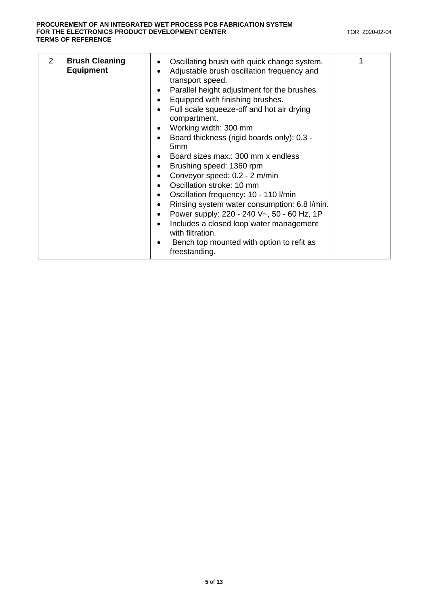| $\mathcal{P}$<br><b>Brush Cleaning</b><br>Oscillating brush with quick change system.<br>٠<br><b>Equipment</b><br>Adjustable brush oscillation frequency and<br>$\bullet$<br>transport speed.<br>Parallel height adjustment for the brushes.<br>٠<br>Equipped with finishing brushes.<br>٠<br>Full scale squeeze-off and hot air drying<br>compartment.<br>Working width: 300 mm<br>Board thickness (rigid boards only): 0.3 -<br>5 <sub>mm</sub><br>Board sizes max.: 300 mm x endless<br>٠<br>Brushing speed: 1360 rpm<br>Conveyor speed: 0.2 - 2 m/min<br>$\bullet$<br>Oscillation stroke: 10 mm<br>Oscillation frequency: 10 - 110 I/min<br>Rinsing system water consumption: 6.8 l/min.<br>Power supply: 220 - 240 V~, 50 - 60 Hz, 1P<br>$\bullet$<br>Includes a closed loop water management<br>$\bullet$<br>with filtration.<br>Bench top mounted with option to refit as<br>freestanding. | 1 |  |
|---------------------------------------------------------------------------------------------------------------------------------------------------------------------------------------------------------------------------------------------------------------------------------------------------------------------------------------------------------------------------------------------------------------------------------------------------------------------------------------------------------------------------------------------------------------------------------------------------------------------------------------------------------------------------------------------------------------------------------------------------------------------------------------------------------------------------------------------------------------------------------------------------|---|--|
|---------------------------------------------------------------------------------------------------------------------------------------------------------------------------------------------------------------------------------------------------------------------------------------------------------------------------------------------------------------------------------------------------------------------------------------------------------------------------------------------------------------------------------------------------------------------------------------------------------------------------------------------------------------------------------------------------------------------------------------------------------------------------------------------------------------------------------------------------------------------------------------------------|---|--|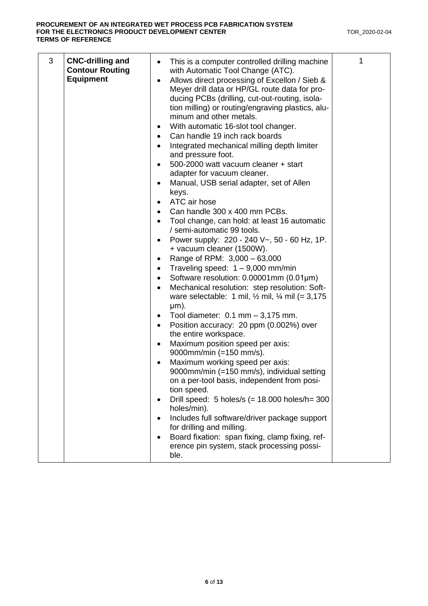| 3 | <b>CNC-drilling and</b><br><b>Contour Routing</b><br><b>Equipment</b> | This is a computer controlled drilling machine<br>$\bullet$<br>with Automatic Tool Change (ATC).<br>Allows direct processing of Excellon / Sieb &<br>Meyer drill data or HP/GL route data for pro-<br>ducing PCBs (drilling, cut-out-routing, isola-<br>tion milling) or routing/engraving plastics, alu-<br>minum and other metals.<br>With automatic 16-slot tool changer.<br>Can handle 19 inch rack boards<br>Integrated mechanical milling depth limiter<br>and pressure foot.<br>500-2000 watt vacuum cleaner + start<br>adapter for vacuum cleaner.<br>Manual, USB serial adapter, set of Allen<br>keys.<br>ATC air hose<br>$\bullet$<br>Can handle 300 x 400 mm PCBs.<br>Tool change, can hold: at least 16 automatic<br>/ semi-automatic 99 tools.<br>Power supply: 220 - 240 V~, 50 - 60 Hz, 1P.<br>+ vacuum cleaner (1500W).<br>Range of RPM: 3,000 - 63,000<br>٠<br>Traveling speed: $1 - 9,000$ mm/min<br>Software resolution: 0.00001mm (0.01µm)<br>Mechanical resolution: step resolution: Soft-<br>ware selectable: 1 mil, $\frac{1}{2}$ mil, $\frac{1}{4}$ mil (= 3,175<br>$µm$ ).<br>Tool diameter: $0.1$ mm $-3,175$ mm.<br>Position accuracy: 20 ppm (0.002%) over<br>the entire workspace.<br>Maximum position speed per axis:<br>9000mm/min (=150 mm/s).<br>Maximum working speed per axis:<br>9000mm/min (=150 mm/s), individual setting<br>on a per-tool basis, independent from posi-<br>tion speed.<br>Drill speed: $5$ holes/s (= 18.000 holes/h= 300<br>holes/min).<br>Includes full software/driver package support<br>for drilling and milling.<br>Board fixation: span fixing, clamp fixing, ref-<br>erence pin system, stack processing possi-<br>ble. | 1 |
|---|-----------------------------------------------------------------------|----------------------------------------------------------------------------------------------------------------------------------------------------------------------------------------------------------------------------------------------------------------------------------------------------------------------------------------------------------------------------------------------------------------------------------------------------------------------------------------------------------------------------------------------------------------------------------------------------------------------------------------------------------------------------------------------------------------------------------------------------------------------------------------------------------------------------------------------------------------------------------------------------------------------------------------------------------------------------------------------------------------------------------------------------------------------------------------------------------------------------------------------------------------------------------------------------------------------------------------------------------------------------------------------------------------------------------------------------------------------------------------------------------------------------------------------------------------------------------------------------------------------------------------------------------------------------------------------------------------------------------------------------------------------------------------|---|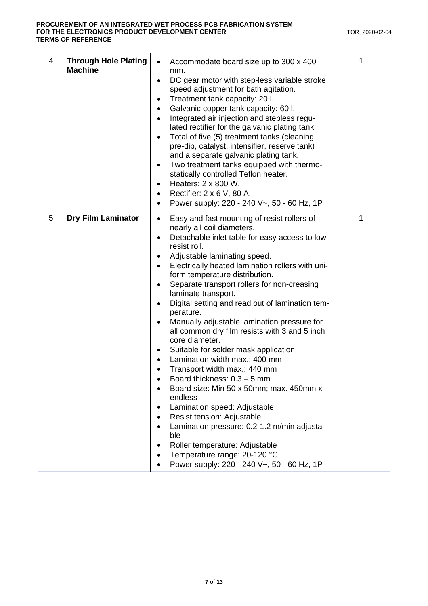| 4 | <b>Through Hole Plating</b><br><b>Machine</b> | Accommodate board size up to 300 x 400<br>mm.<br>DC gear motor with step-less variable stroke<br>$\bullet$<br>speed adjustment for bath agitation.<br>Treatment tank capacity: 20 l.<br>Galvanic copper tank capacity: 60 l.<br>Integrated air injection and stepless regu-<br>$\bullet$<br>lated rectifier for the galvanic plating tank.<br>Total of five (5) treatment tanks (cleaning,<br>$\bullet$<br>pre-dip, catalyst, intensifier, reserve tank)<br>and a separate galvanic plating tank.<br>Two treatment tanks equipped with thermo-<br>٠<br>statically controlled Teflon heater.<br>Heaters: 2 x 800 W.<br>$\bullet$<br>Rectifier: 2 x 6 V, 80 A.<br>٠<br>Power supply: 220 - 240 V~, 50 - 60 Hz, 1P                                                                                                                                                                                                                                                                         | 1 |
|---|-----------------------------------------------|-----------------------------------------------------------------------------------------------------------------------------------------------------------------------------------------------------------------------------------------------------------------------------------------------------------------------------------------------------------------------------------------------------------------------------------------------------------------------------------------------------------------------------------------------------------------------------------------------------------------------------------------------------------------------------------------------------------------------------------------------------------------------------------------------------------------------------------------------------------------------------------------------------------------------------------------------------------------------------------------|---|
| 5 | <b>Dry Film Laminator</b>                     | Easy and fast mounting of resist rollers of<br>$\bullet$<br>nearly all coil diameters.<br>Detachable inlet table for easy access to low<br>$\bullet$<br>resist roll.<br>Adjustable laminating speed.<br>Electrically heated lamination rollers with uni-<br>form temperature distribution.<br>Separate transport rollers for non-creasing<br>laminate transport.<br>Digital setting and read out of lamination tem-<br>perature.<br>Manually adjustable lamination pressure for<br>all common dry film resists with 3 and 5 inch<br>core diameter.<br>Suitable for solder mask application.<br>Lamination width max.: 400 mm<br>Transport width max.: 440 mm<br>Board thickness: $0.3 - 5$ mm<br>Board size: Min 50 x 50mm; max. 450mm x<br>endless<br>Lamination speed: Adjustable<br>Resist tension: Adjustable<br>Lamination pressure: 0.2-1.2 m/min adjusta-<br>ble<br>Roller temperature: Adjustable<br>Temperature range: 20-120 °C<br>Power supply: 220 - 240 V~, 50 - 60 Hz, 1P | 1 |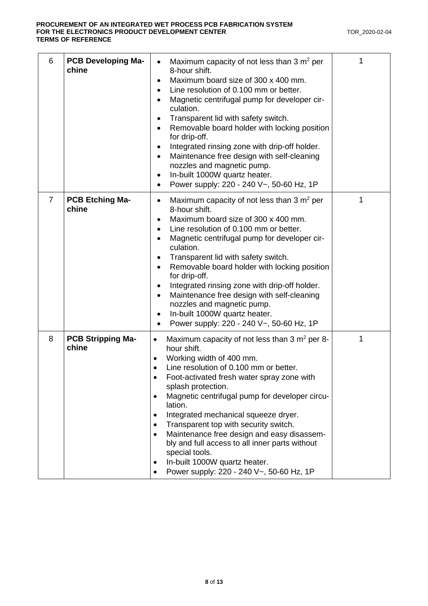| 6 | <b>PCB Developing Ma-</b><br>chine | Maximum capacity of not less than $3 \text{ m}^2$ per<br>8-hour shift.<br>Maximum board size of 300 x 400 mm.<br>$\bullet$<br>Line resolution of 0.100 mm or better.<br>$\bullet$<br>Magnetic centrifugal pump for developer cir-<br>culation.<br>Transparent lid with safety switch.<br>$\bullet$<br>Removable board holder with locking position<br>for drip-off.<br>Integrated rinsing zone with drip-off holder.<br>$\bullet$<br>Maintenance free design with self-cleaning<br>nozzles and magnetic pump.<br>In-built 1000W quartz heater.<br>$\bullet$<br>Power supply: 220 - 240 V~, 50-60 Hz, 1P<br>$\bullet$                     | 1 |
|---|------------------------------------|------------------------------------------------------------------------------------------------------------------------------------------------------------------------------------------------------------------------------------------------------------------------------------------------------------------------------------------------------------------------------------------------------------------------------------------------------------------------------------------------------------------------------------------------------------------------------------------------------------------------------------------|---|
| 7 | <b>PCB Etching Ma-</b><br>chine    | Maximum capacity of not less than 3 $m2$ per<br>$\bullet$<br>8-hour shift.<br>Maximum board size of 300 x 400 mm.<br>$\bullet$<br>Line resolution of 0.100 mm or better.<br>Magnetic centrifugal pump for developer cir-<br>culation.<br>Transparent lid with safety switch.<br>$\bullet$<br>Removable board holder with locking position<br>$\bullet$<br>for drip-off.<br>Integrated rinsing zone with drip-off holder.<br>$\bullet$<br>Maintenance free design with self-cleaning<br>nozzles and magnetic pump.<br>In-built 1000W quartz heater.<br>$\bullet$<br>Power supply: 220 - 240 V~, 50-60 Hz, 1P                              | 1 |
| 8 | <b>PCB Stripping Ma-</b><br>chine  | Maximum capacity of not less than 3 $m2$ per 8-<br>$\bullet$<br>hour shift.<br>Working width of 400 mm.<br>$\bullet$<br>Line resolution of 0.100 mm or better.<br>Foot-activated fresh water spray zone with<br>splash protection.<br>Magnetic centrifugal pump for developer circu-<br>$\bullet$<br>lation.<br>Integrated mechanical squeeze dryer.<br>٠<br>Transparent top with security switch.<br>$\bullet$<br>Maintenance free design and easy disassem-<br>$\bullet$<br>bly and full access to all inner parts without<br>special tools.<br>In-built 1000W quartz heater.<br>Power supply: 220 - 240 V~, 50-60 Hz, 1P<br>$\bullet$ | 1 |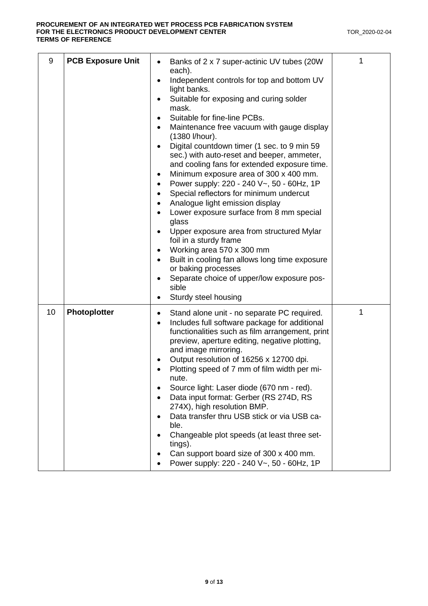| 9  | <b>PCB Exposure Unit</b> | Banks of 2 x 7 super-actinic UV tubes (20W)<br>$\bullet$<br>each).<br>Independent controls for top and bottom UV<br>$\bullet$<br>light banks.<br>Suitable for exposing and curing solder<br>mask.<br>Suitable for fine-line PCBs.<br>$\bullet$<br>Maintenance free vacuum with gauge display<br>$\bullet$<br>(1380 l/hour).<br>Digital countdown timer (1 sec. to 9 min 59<br>sec.) with auto-reset and beeper, ammeter,<br>and cooling fans for extended exposure time.<br>Minimum exposure area of 300 x 400 mm.<br>٠<br>Power supply: 220 - 240 V~, 50 - 60Hz, 1P<br>$\bullet$<br>Special reflectors for minimum undercut<br>$\bullet$<br>Analogue light emission display<br>Lower exposure surface from 8 mm special<br>glass<br>Upper exposure area from structured Mylar<br>foil in a sturdy frame<br>Working area 570 x 300 mm<br>$\bullet$<br>Built in cooling fan allows long time exposure<br>$\bullet$<br>or baking processes<br>Separate choice of upper/low exposure pos-<br>sible<br>Sturdy steel housing | 1 |
|----|--------------------------|-------------------------------------------------------------------------------------------------------------------------------------------------------------------------------------------------------------------------------------------------------------------------------------------------------------------------------------------------------------------------------------------------------------------------------------------------------------------------------------------------------------------------------------------------------------------------------------------------------------------------------------------------------------------------------------------------------------------------------------------------------------------------------------------------------------------------------------------------------------------------------------------------------------------------------------------------------------------------------------------------------------------------|---|
| 10 | Photoplotter             | Stand alone unit - no separate PC required.<br>٠<br>Includes full software package for additional<br>$\bullet$<br>functionalities such as film arrangement, print<br>preview, aperture editing, negative plotting,<br>and image mirroring.<br>Output resolution of 16256 x 12700 dpi.<br>Plotting speed of 7 mm of film width per mi-<br>nute.<br>Source light: Laser diode (670 nm - red).<br>Data input format: Gerber (RS 274D, RS<br>274X), high resolution BMP.<br>Data transfer thru USB stick or via USB ca-<br>ble.<br>Changeable plot speeds (at least three set-<br>tings).<br>Can support board size of 300 x 400 mm.<br>Power supply: 220 - 240 V~, 50 - 60Hz, 1P                                                                                                                                                                                                                                                                                                                                           | 1 |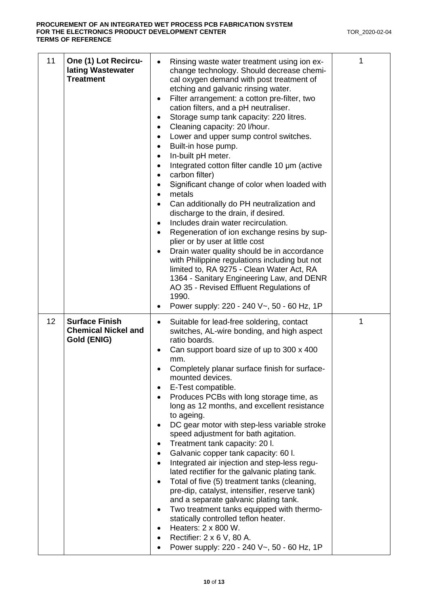| 11 | One (1) Lot Recircu-<br>lating Wastewater<br><b>Treatment</b>      | Rinsing waste water treatment using ion ex-<br>change technology. Should decrease chemi-<br>cal oxygen demand with post treatment of<br>etching and galvanic rinsing water.<br>Filter arrangement: a cotton pre-filter, two<br>$\bullet$<br>cation filters, and a pH neutraliser.<br>Storage sump tank capacity: 220 litres.<br>Cleaning capacity: 20 I/hour.<br>$\bullet$<br>Lower and upper sump control switches.<br>Built-in hose pump.<br>$\bullet$<br>In-built pH meter.<br>Integrated cotton filter candle 10 µm (active<br>carbon filter)<br>Significant change of color when loaded with<br>metals<br>$\bullet$<br>Can additionally do PH neutralization and<br>discharge to the drain, if desired.<br>Includes drain water recirculation.<br>$\bullet$<br>Regeneration of ion exchange resins by sup-<br>plier or by user at little cost<br>Drain water quality should be in accordance<br>with Philippine regulations including but not<br>limited to, RA 9275 - Clean Water Act, RA<br>1364 - Sanitary Engineering Law, and DENR<br>AO 35 - Revised Effluent Regulations of<br>1990.<br>Power supply: 220 - 240 V~, 50 - 60 Hz, 1P | 1 |
|----|--------------------------------------------------------------------|------------------------------------------------------------------------------------------------------------------------------------------------------------------------------------------------------------------------------------------------------------------------------------------------------------------------------------------------------------------------------------------------------------------------------------------------------------------------------------------------------------------------------------------------------------------------------------------------------------------------------------------------------------------------------------------------------------------------------------------------------------------------------------------------------------------------------------------------------------------------------------------------------------------------------------------------------------------------------------------------------------------------------------------------------------------------------------------------------------------------------------------------|---|
| 12 | <b>Surface Finish</b><br><b>Chemical Nickel and</b><br>Gold (ENIG) | Suitable for lead-free soldering, contact<br>switches, AL-wire bonding, and high aspect<br>ratio boards.<br>Can support board size of up to 300 x 400<br>mm.<br>Completely planar surface finish for surface-<br>mounted devices.<br>E-Test compatible.<br>Produces PCBs with long storage time, as<br>long as 12 months, and excellent resistance<br>to ageing.<br>DC gear motor with step-less variable stroke<br>speed adjustment for bath agitation.<br>Treatment tank capacity: 20 l.<br>Galvanic copper tank capacity: 60 l.<br>Integrated air injection and step-less regu-<br>lated rectifier for the galvanic plating tank.<br>Total of five (5) treatment tanks (cleaning,<br>pre-dip, catalyst, intensifier, reserve tank)<br>and a separate galvanic plating tank.<br>Two treatment tanks equipped with thermo-<br>statically controlled teflon heater.<br>Heaters: 2 x 800 W.<br>Rectifier: 2 x 6 V, 80 A.<br>Power supply: 220 - 240 V~, 50 - 60 Hz, 1P                                                                                                                                                                          | 1 |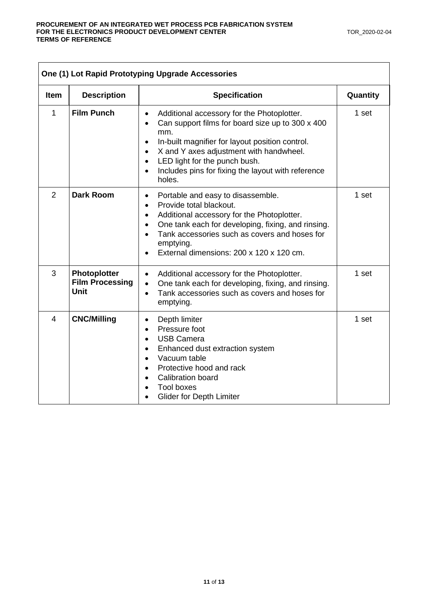| One (1) Lot Rapid Prototyping Upgrade Accessories |                                                       |                                                                                                                                                                                                                                                                                                                                                                                    |          |
|---------------------------------------------------|-------------------------------------------------------|------------------------------------------------------------------------------------------------------------------------------------------------------------------------------------------------------------------------------------------------------------------------------------------------------------------------------------------------------------------------------------|----------|
| <b>Item</b>                                       | <b>Description</b>                                    | <b>Specification</b>                                                                                                                                                                                                                                                                                                                                                               | Quantity |
| 1                                                 | <b>Film Punch</b>                                     | Additional accessory for the Photoplotter.<br>$\bullet$<br>Can support films for board size up to 300 x 400<br>$\bullet$<br>mm.<br>In-built magnifier for layout position control.<br>$\bullet$<br>X and Y axes adjustment with handwheel.<br>$\bullet$<br>LED light for the punch bush.<br>$\bullet$<br>Includes pins for fixing the layout with reference<br>$\bullet$<br>holes. | 1 set    |
| $\overline{2}$                                    | <b>Dark Room</b>                                      | Portable and easy to disassemble.<br>$\bullet$<br>Provide total blackout.<br>$\bullet$<br>Additional accessory for the Photoplotter.<br>$\bullet$<br>One tank each for developing, fixing, and rinsing.<br>$\bullet$<br>Tank accessories such as covers and hoses for<br>$\bullet$<br>emptying.<br>External dimensions: 200 x 120 x 120 cm.<br>$\bullet$                           | 1 set    |
| 3                                                 | Photoplotter<br><b>Film Processing</b><br><b>Unit</b> | Additional accessory for the Photoplotter.<br>$\bullet$<br>One tank each for developing, fixing, and rinsing.<br>$\bullet$<br>Tank accessories such as covers and hoses for<br>$\bullet$<br>emptying.                                                                                                                                                                              | 1 set    |
| $\overline{4}$                                    | <b>CNC/Milling</b>                                    | Depth limiter<br>$\bullet$<br>Pressure foot<br>$\bullet$<br><b>USB Camera</b><br>$\bullet$<br>Enhanced dust extraction system<br>$\bullet$<br>Vacuum table<br>$\bullet$<br>Protective hood and rack<br>$\bullet$<br><b>Calibration board</b><br>$\bullet$<br><b>Tool boxes</b><br><b>Glider for Depth Limiter</b>                                                                  | 1 set    |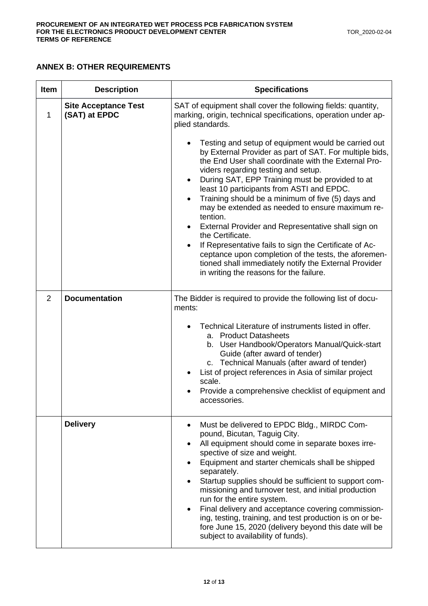# **ANNEX B: OTHER REQUIREMENTS**

| <b>Item</b> | <b>Description</b>                           | <b>Specifications</b>                                                                                                                                                                                                                                                                                                                                                                                                                                                                                                                                                                                                                                                                                                                                                                                                                                                                                |
|-------------|----------------------------------------------|------------------------------------------------------------------------------------------------------------------------------------------------------------------------------------------------------------------------------------------------------------------------------------------------------------------------------------------------------------------------------------------------------------------------------------------------------------------------------------------------------------------------------------------------------------------------------------------------------------------------------------------------------------------------------------------------------------------------------------------------------------------------------------------------------------------------------------------------------------------------------------------------------|
| 1           | <b>Site Acceptance Test</b><br>(SAT) at EPDC | SAT of equipment shall cover the following fields: quantity,<br>marking, origin, technical specifications, operation under ap-<br>plied standards.<br>Testing and setup of equipment would be carried out<br>by External Provider as part of SAT. For multiple bids,<br>the End User shall coordinate with the External Pro-<br>viders regarding testing and setup.<br>During SAT, EPP Training must be provided to at<br>least 10 participants from ASTI and EPDC.<br>Training should be a minimum of five (5) days and<br>$\bullet$<br>may be extended as needed to ensure maximum re-<br>tention.<br>External Provider and Representative shall sign on<br>the Certificate.<br>If Representative fails to sign the Certificate of Ac-<br>ceptance upon completion of the tests, the aforemen-<br>tioned shall immediately notify the External Provider<br>in writing the reasons for the failure. |
| 2           | <b>Documentation</b>                         | The Bidder is required to provide the following list of docu-<br>ments:<br>Technical Literature of instruments listed in offer.<br>a. Product Datasheets<br>b. User Handbook/Operators Manual/Quick-start<br>Guide (after award of tender)<br>c. Technical Manuals (after award of tender)<br>List of project references in Asia of similar project<br>scale.<br>Provide a comprehensive checklist of equipment and<br>accessories.                                                                                                                                                                                                                                                                                                                                                                                                                                                                  |
|             | <b>Delivery</b>                              | Must be delivered to EPDC Bldg., MIRDC Com-<br>pound, Bicutan, Taguig City.<br>All equipment should come in separate boxes irre-<br>spective of size and weight.<br>Equipment and starter chemicals shall be shipped<br>separately.<br>Startup supplies should be sufficient to support com-<br>missioning and turnover test, and initial production<br>run for the entire system.<br>Final delivery and acceptance covering commission-<br>ing, testing, training, and test production is on or be-<br>fore June 15, 2020 (delivery beyond this date will be<br>subject to availability of funds).                                                                                                                                                                                                                                                                                                  |